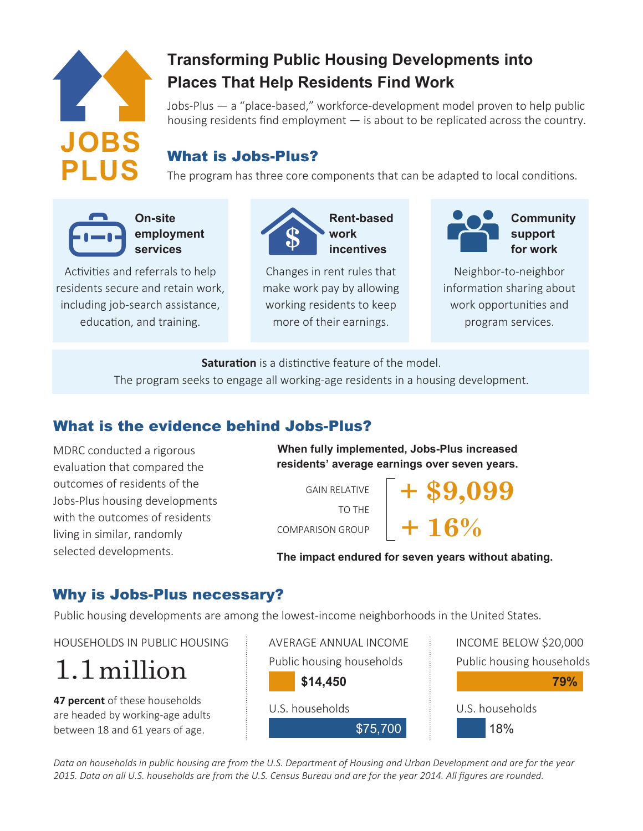

## **Transforming Public Housing Developments into Places That Help Residents Find Work**

Jobs-Plus — a "place-based," workforce-development model proven to help public housing residents find employment — is about to be replicated across the country.

## What is Jobs-Plus?

The program has three core components that can be adapted to local conditions.



**On-site employment services** 

Activities and referrals to help residents secure and retain work, including job-search assistance, education, and training.



Changes in rent rules that make work pay by allowing working residents to keep more of their earnings.



Neighbor-to-neighbor information sharing about work opportunities and program services.

**Saturation** is a distinctive feature of the model.

The program seeks to engage all working-age residents in a housing development.

## What is the evidence behind Jobs-Plus?

MDRC conducted a rigorous evaluation that compared the outcomes of residents of the Jobs-Plus housing developments with the outcomes of residents living in similar, randomly selected developments.

**When fully implemented, Jobs-Plus increased residents' average earnings over seven years.**

GAIN RELATIVE TO THE COMPARISON GROUP

#### **The impact endured for seven years without abating.**

**+ \$9,099**

**+ 16%**

### Why is Jobs-Plus necessary?

Public housing developments are among the lowest-income neighborhoods in the United States.

HOUSEHOLDS IN PUBLIC HOUSING FOR AVERAGE ANNUAL INCOME FOR THE INCOME BELOW \$20,000

1.1million

**47 percent** of these households are headed by working-age adults between 18 and 61 years of age.



Public housing households U.S. households **79%** 18%

*Data on households in public housing are from the U.S. Department of Housing and Urban Development and are for the year 2015. Data on all U.S. households are from the U.S. Census Bureau and are for the year 2014. All figures are rounded.*